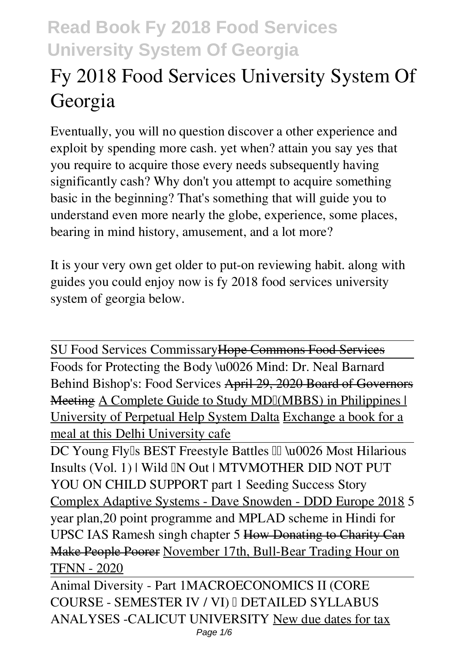# **Fy 2018 Food Services University System Of Georgia**

Eventually, you will no question discover a other experience and exploit by spending more cash. yet when? attain you say yes that you require to acquire those every needs subsequently having significantly cash? Why don't you attempt to acquire something basic in the beginning? That's something that will guide you to understand even more nearly the globe, experience, some places, bearing in mind history, amusement, and a lot more?

It is your very own get older to put-on reviewing habit. along with guides you could enjoy now is **fy 2018 food services university system of georgia** below.

SU Food Services CommissaryHope Commons Food Services Foods for Protecting the Body \u0026 Mind: Dr. Neal Barnard Behind Bishop's: Food Services April 29, 2020 Board of Governors Meeting A Complete Guide to Study MDI(MBBS) in Philippines | University of Perpetual Help System Dalta Exchange a book for a meal at this Delhi University cafe

DC Young Flylls BEST Freestyle Battles III \u0026 Most Hilarious Insults (Vol. 1) | Wild 'N Out | MTV*MOTHER DID NOT PUT YOU ON CHILD SUPPORT part 1 Seeding Success Story* Complex Adaptive Systems - Dave Snowden - DDD Europe 2018 5 year plan,20 point programme and MPLAD scheme in Hindi for UPSC IAS Ramesh singh chapter 5 How Donating to Charity Can Make People Poorer November 17th, Bull-Bear Trading Hour on TFNN - 2020

Animal Diversity - Part 1**MACROECONOMICS II (CORE COURSE - SEMESTER IV / VI) – DETAILED SYLLABUS ANALYSES -CALICUT UNIVERSITY** New due dates for tax Page 1/6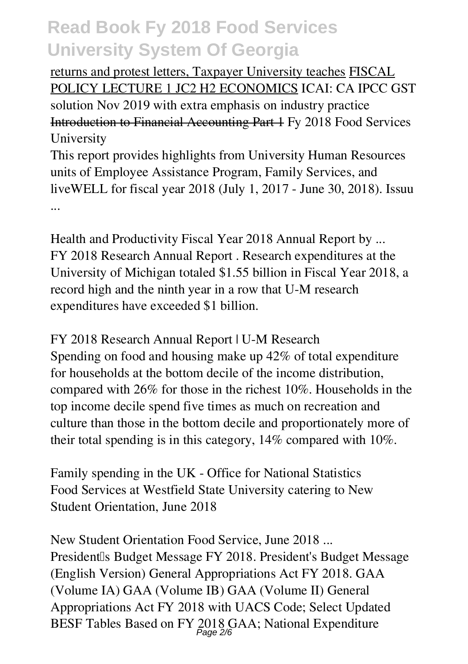returns and protest letters, Taxpayer University teaches FISCAL POLICY LECTURE 1 JC2 H2 ECONOMICS **ICAI: CA IPCC GST solution Nov 2019 with extra emphasis on industry practice** Introduction to Financial Accounting Part 1 *Fy 2018 Food Services University*

This report provides highlights from University Human Resources units of Employee Assistance Program, Family Services, and liveWELL for fiscal year 2018 (July 1, 2017 - June 30, 2018). Issuu ...

*Health and Productivity Fiscal Year 2018 Annual Report by ...* FY 2018 Research Annual Report . Research expenditures at the University of Michigan totaled \$1.55 billion in Fiscal Year 2018, a record high and the ninth year in a row that U-M research expenditures have exceeded \$1 billion.

*FY 2018 Research Annual Report | U-M Research* Spending on food and housing make up 42% of total expenditure for households at the bottom decile of the income distribution, compared with 26% for those in the richest 10%. Households in the top income decile spend five times as much on recreation and culture than those in the bottom decile and proportionately more of their total spending is in this category, 14% compared with 10%.

*Family spending in the UK - Office for National Statistics* Food Services at Westfield State University catering to New Student Orientation, June 2018

*New Student Orientation Food Service, June 2018 ...* President's Budget Message FY 2018. President's Budget Message (English Version) General Appropriations Act FY 2018. GAA (Volume IA) GAA (Volume IB) GAA (Volume II) General Appropriations Act FY 2018 with UACS Code; Select Updated BESF Tables Based on FY 2018 GAA; National Expenditure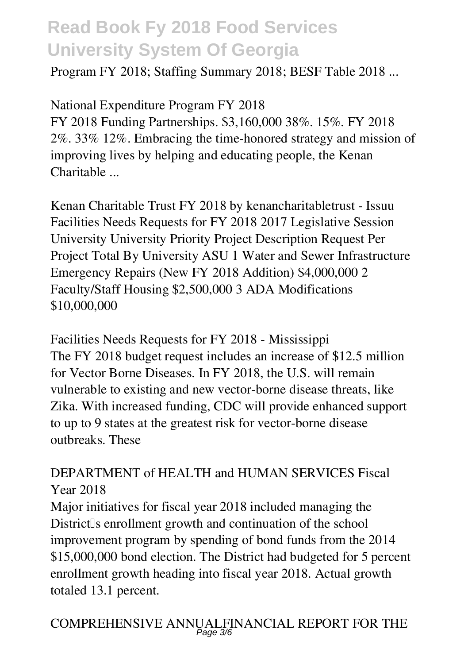Program FY 2018; Staffing Summary 2018; BESF Table 2018 ...

*National Expenditure Program FY 2018* FY 2018 Funding Partnerships. \$3,160,000 38%. 15%. FY 2018 2%. 33% 12%. Embracing the time-honored strategy and mission of improving lives by helping and educating people, the Kenan Charitable ...

*Kenan Charitable Trust FY 2018 by kenancharitabletrust - Issuu* Facilities Needs Requests for FY 2018 2017 Legislative Session University University Priority Project Description Request Per Project Total By University ASU 1 Water and Sewer Infrastructure Emergency Repairs (New FY 2018 Addition) \$4,000,000 2 Faculty/Staff Housing \$2,500,000 3 ADA Modifications \$10,000,000

*Facilities Needs Requests for FY 2018 - Mississippi* The FY 2018 budget request includes an increase of \$12.5 million for Vector Borne Diseases. In FY 2018, the U.S. will remain vulnerable to existing and new vector-borne disease threats, like Zika. With increased funding, CDC will provide enhanced support to up to 9 states at the greatest risk for vector-borne disease outbreaks. These

*DEPARTMENT of HEALTH and HUMAN SERVICES Fiscal Year 2018*

Major initiatives for fiscal year 2018 included managing the District<sup>'s</sup> enrollment growth and continuation of the school improvement program by spending of bond funds from the 2014 \$15,000,000 bond election. The District had budgeted for 5 percent enrollment growth heading into fiscal year 2018. Actual growth totaled 13.1 percent.

*COMPREHENSIVE ANNUALFINANCIAL REPORT FOR THE* Page 3/6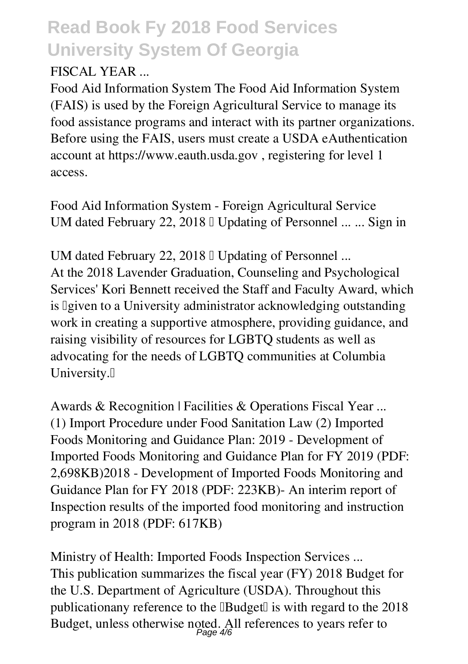#### *FISCAL YEAR ...*

Food Aid Information System The Food Aid Information System (FAIS) is used by the Foreign Agricultural Service to manage its food assistance programs and interact with its partner organizations. Before using the FAIS, users must create a USDA eAuthentication account at https://www.eauth.usda.gov , registering for level 1 access.

*Food Aid Information System - Foreign Agricultural Service* UM dated February 22, 2018  $\Box$  Updating of Personnel ... ... Sign in

*UM dated February 22, 2018 <sup>[]</sup> Updating of Personnel ...* At the 2018 Lavender Graduation, Counseling and Psychological Services' Kori Bennett received the Staff and Faculty Award, which is Igiven to a University administrator acknowledging outstanding work in creating a supportive atmosphere, providing guidance, and raising visibility of resources for LGBTQ students as well as advocating for the needs of LGBTQ communities at Columbia University.<sup>[]</sup>

*Awards & Recognition | Facilities & Operations Fiscal Year ...* (1) Import Procedure under Food Sanitation Law (2) Imported Foods Monitoring and Guidance Plan: 2019 - Development of Imported Foods Monitoring and Guidance Plan for FY 2019 (PDF: 2,698KB)2018 - Development of Imported Foods Monitoring and Guidance Plan for FY 2018 (PDF: 223KB)- An interim report of Inspection results of the imported food monitoring and instruction program in 2018 (PDF: 617KB)

*Ministry of Health: Imported Foods Inspection Services ...* This publication summarizes the fiscal year (FY) 2018 Budget for the U.S. Department of Agriculture (USDA). Throughout this publicationany reference to the **IBudget** is with regard to the 2018 Budget, unless otherwise noted. All references to years refer to  $_{Page\,4/6}^{Page\,4/6}$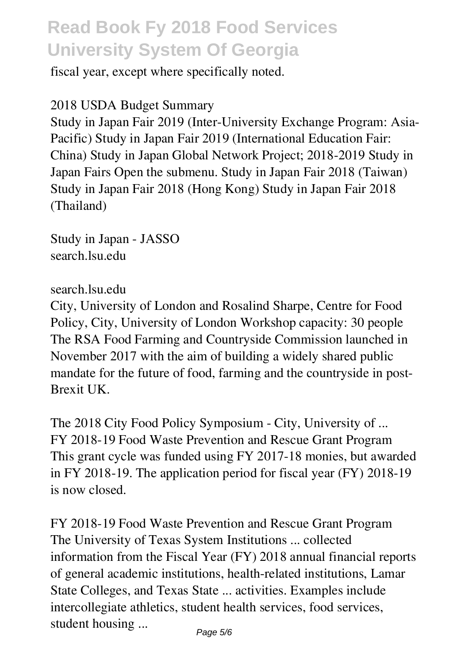fiscal year, except where specifically noted.

*2018 USDA Budget Summary*

Study in Japan Fair 2019 (Inter-University Exchange Program: Asia-Pacific) Study in Japan Fair 2019 (International Education Fair: China) Study in Japan Global Network Project; 2018-2019 Study in Japan Fairs Open the submenu. Study in Japan Fair 2018 (Taiwan) Study in Japan Fair 2018 (Hong Kong) Study in Japan Fair 2018 (Thailand)

*Study in Japan - JASSO* search.lsu.edu

*search.lsu.edu*

City, University of London and Rosalind Sharpe, Centre for Food Policy, City, University of London Workshop capacity: 30 people The RSA Food Farming and Countryside Commission launched in November 2017 with the aim of building a widely shared public mandate for the future of food, farming and the countryside in post-Brexit UK.

*The 2018 City Food Policy Symposium - City, University of ...* FY 2018-19 Food Waste Prevention and Rescue Grant Program This grant cycle was funded using FY 2017-18 monies, but awarded in FY 2018-19. The application period for fiscal year (FY) 2018-19 is now closed.

*FY 2018-19 Food Waste Prevention and Rescue Grant Program* The University of Texas System Institutions ... collected information from the Fiscal Year (FY) 2018 annual financial reports of general academic institutions, health-related institutions, Lamar State Colleges, and Texas State ... activities. Examples include intercollegiate athletics, student health services, food services, student housing ...